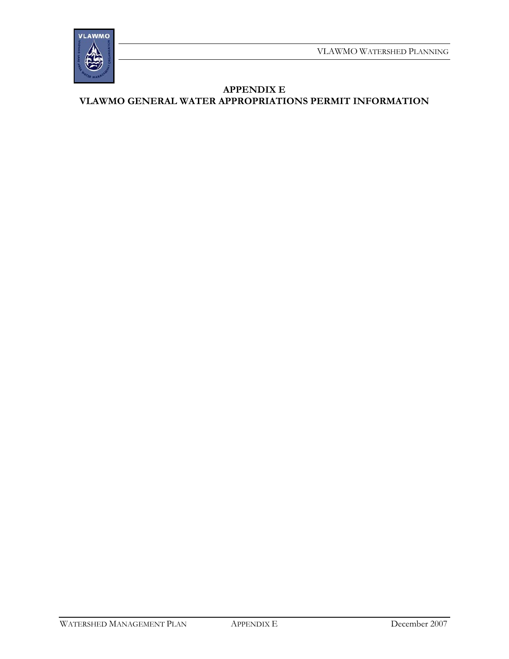

**APPENDIX E VLAWMO GENERAL WATER APPROPRIATIONS PERMIT INFORMATION**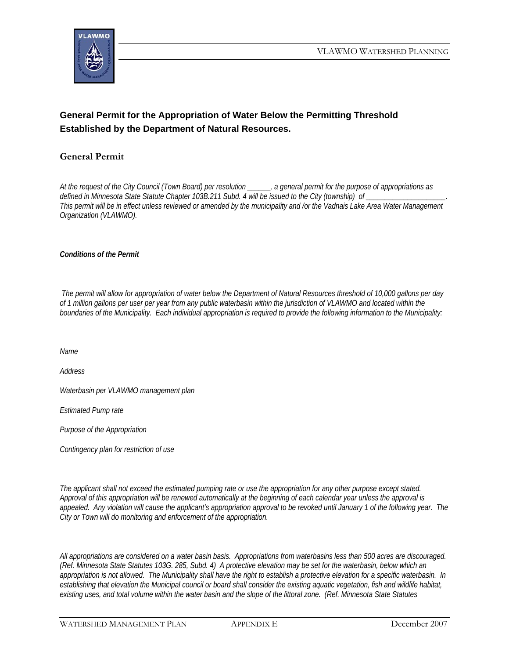

## **General Permit for the Appropriation of Water Below the Permitting Threshold Established by the Department of Natural Resources.**

## **General Permit**

*At the request of the City Council (Town Board) per resolution \_\_\_\_\_\_, a general permit for the purpose of appropriations as*  defined in Minnesota State Statute Chapter 103B.211 Subd. 4 will be issued to the City (township) of *This permit will be in effect unless reviewed or amended by the municipality and /or the Vadnais Lake Area Water Management Organization (VLAWMO).* 

*Conditions of the Permit* 

 *The permit will allow for appropriation of water below the Department of Natural Resources threshold of 10,000 gallons per day of 1 million gallons per user per year from any public waterbasin within the jurisdiction of VLAWMO and located within the boundaries of the Municipality. Each individual appropriation is required to provide the following information to the Municipality:* 

*Name* 

*Address* 

*Waterbasin per VLAWMO management plan* 

*Estimated Pump rate* 

*Purpose of the Appropriation* 

*Contingency plan for restriction of use* 

*The applicant shall not exceed the estimated pumping rate or use the appropriation for any other purpose except stated. Approval of this appropriation will be renewed automatically at the beginning of each calendar year unless the approval is appealed. Any violation will cause the applicant's appropriation approval to be revoked until January 1 of the following year. The City or Town will do monitoring and enforcement of the appropriation.* 

*All appropriations are considered on a water basin basis. Appropriations from waterbasins less than 500 acres are discouraged. (Ref. Minnesota State Statutes 103G. 285, Subd. 4) A protective elevation may be set for the waterbasin, below which an appropriation is not allowed. The Municipality shall have the right to establish a protective elevation for a specific waterbasin. In establishing that elevation the Municipal council or board shall consider the existing aquatic vegetation, fish and wildlife habitat, existing uses, and total volume within the water basin and the slope of the littoral zone. (Ref. Minnesota State Statutes*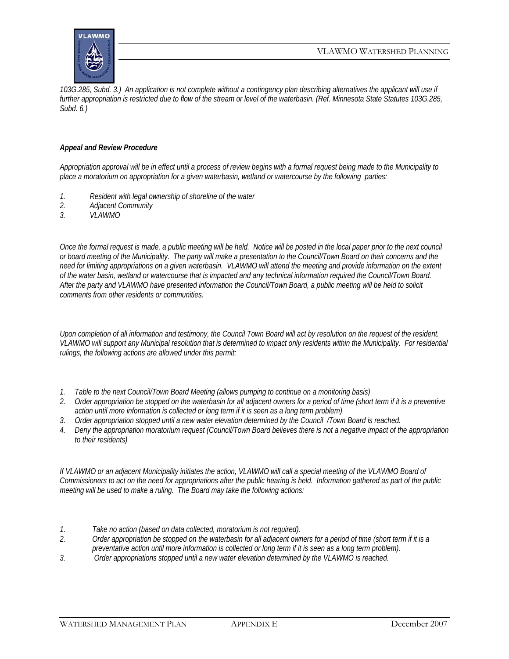

*103G.285, Subd. 3.) An application is not complete without a contingency plan describing alternatives the applicant will use if further appropriation is restricted due to flow of the stream or level of the waterbasin. (Ref. Minnesota State Statutes 103G.285, Subd. 6.)* 

## *Appeal and Review Procedure*

*Appropriation approval will be in effect until a process of review begins with a formal request being made to the Municipality to place a moratorium on appropriation for a given waterbasin, wetland or watercourse by the following parties:* 

- *1. Resident with legal ownership of shoreline of the water*
- *2. Adjacent Community*
- *3. VLAWMO*

*Once the formal request is made, a public meeting will be held. Notice will be posted in the local paper prior to the next council or board meeting of the Municipality. The party will make a presentation to the Council/Town Board on their concerns and the need for limiting appropriations on a given waterbasin. VLAWMO will attend the meeting and provide information on the extent of the water basin, wetland or watercourse that is impacted and any technical information required the Council/Town Board. After the party and VLAWMO have presented information the Council/Town Board, a public meeting will be held to solicit comments from other residents or communities.* 

*Upon completion of all information and testimony, the Council Town Board will act by resolution on the request of the resident. VLAWMO will support any Municipal resolution that is determined to impact only residents within the Municipality. For residential rulings, the following actions are allowed under this permit:* 

- *1. Table to the next Council/Town Board Meeting (allows pumping to continue on a monitoring basis)*
- *2. Order appropriation be stopped on the waterbasin for all adjacent owners for a period of time (short term if it is a preventive action until more information is collected or long term if it is seen as a long term problem)*
- *3. Order appropriation stopped until a new water elevation determined by the Council /Town Board is reached.*
- *4. Deny the appropriation moratorium request (Council/Town Board believes there is not a negative impact of the appropriation to their residents)*

If VLAWMO or an adjacent Municipality initiates the action, VLAWMO will call a special meeting of the VLAWMO Board of *Commissioners to act on the need for appropriations after the public hearing is held. Information gathered as part of the public meeting will be used to make a ruling. The Board may take the following actions:* 

- *1. Take no action (based on data collected, moratorium is not required).*
- *2. Order appropriation be stopped on the waterbasin for all adjacent owners for a period of time (short term if it is a preventative action until more information is collected or long term if it is seen as a long term problem).*
- *3. Order appropriations stopped until a new water elevation determined by the VLAWMO is reached.*